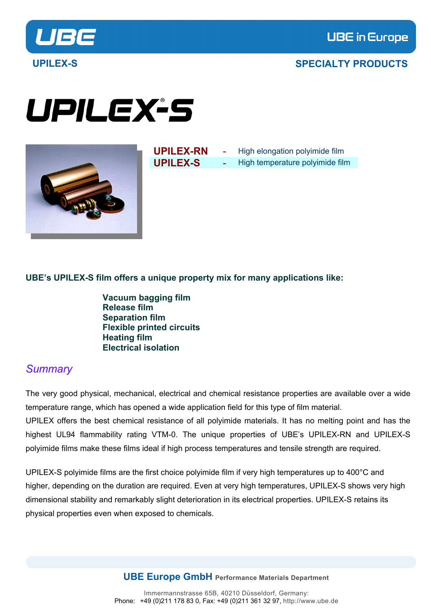

# UPILEX-S



**UPILEX-RN** - High elongation polyimide film **UPILEX-S** - High temperature polyimide film

### **UBE's UPILEX-S film offers a unique property mix for many applications like:**

 **Vacuum bagging film Release film Separation film Flexible printed circuits Heating film Electrical isolation** 

### *Summary*

The very good physical, mechanical, electrical and chemical resistance properties are available over a wide temperature range, which has opened a wide application field for this type of film material. UPILEX offers the best chemical resistance of all polyimide materials. It has no melting point and has the highest UL94 flammability rating VTM-0. The unique properties of UBE's UPILEX-RN and UPILEX-S polyimide films make these films ideal if high process temperatures and tensile strength are required.

UPILEX-S polyimide films are the first choice polyimide film if very high temperatures up to 400°C and higher, depending on the duration are required. Even at very high temperatures, UPILEX-S shows very high dimensional stability and remarkably slight [deterioration](http://dict.leo.org/?p=2Ib6..&search=deterioration) in its electrical properties. UPILEX-S retains its physical properties even when exposed to chemicals.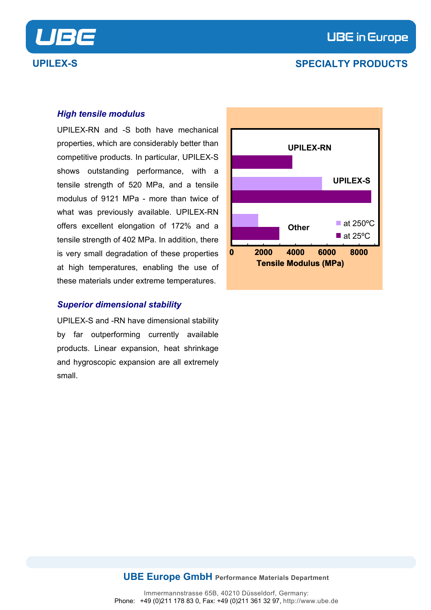



#### *High tensile modulus*

UPILEX-RN and -S both have mechanical properties, which are considerably better than competitive products. In particular, UPILEX-S shows outstanding performance, with a tensile strength of 520 MPa, and a tensile modulus of 9121 MPa - more than twice of what was previously available. UPILEX-RN offers excellent elongation of 172% and a tensile strength of 402 MPa. In addition, there is very small degradation of these properties at high temperatures, enabling the use of these materials under extreme temperatures.

#### *Superior dimensional stability*

UPILEX-S and -RN have dimensional stability by far outperforming currently available products. Linear expansion, heat shrinkage and hygroscopic expansion are all extremely small.

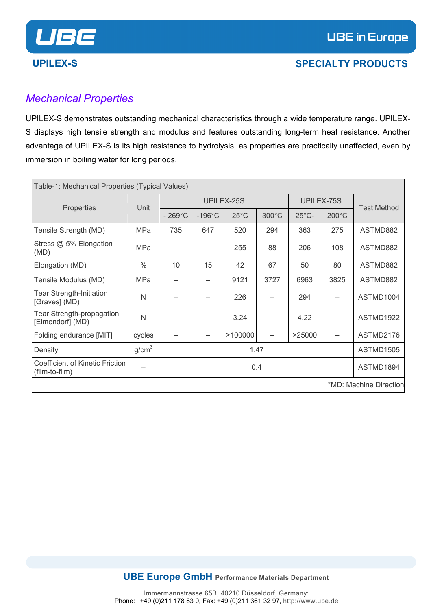# *Mechanical Properties*

UPILEX-S demonstrates outstanding mechanical characteristics through a wide temperature range. UPILEX-S displays high tensile strength and modulus and features outstanding long-term heat resistance. Another advantage of UPILEX-S is its high resistance to hydrolysis, as properties are practically unaffected, even by immersion in boiling water for long periods.

| Table-1: Mechanical Properties (Typical Values)   |                   |                  |                  |                |       |                 |                 |                        |
|---------------------------------------------------|-------------------|------------------|------------------|----------------|-------|-----------------|-----------------|------------------------|
|                                                   |                   |                  | UPILEX-25S       |                |       |                 | UPILEX-75S      |                        |
| Properties                                        | Unit              | $-269^{\circ}$ C | $-196^{\circ}$ C | $25^{\circ}$ C | 300°C | $25^{\circ}$ C- | $200^{\circ}$ C | <b>Test Method</b>     |
| Tensile Strength (MD)                             | MPa               | 735              | 647              | 520            | 294   | 363             | 275             | ASTMD882               |
| Stress @ 5% Elongation<br>(MD)                    | <b>MPa</b>        |                  |                  | 255            | 88    | 206             | 108             | ASTMD882               |
| Elongation (MD)                                   | $\frac{0}{0}$     | 10               | 15               | 42             | 67    | 50              | 80              | ASTMD882               |
| Tensile Modulus (MD)                              | MPa               |                  |                  | 9121           | 3727  | 6963            | 3825            | ASTMD882               |
| <b>Tear Strength-Initiation</b><br>[Graves] (MD)  | N                 |                  |                  | 226            |       | 294             |                 | ASTMD1004              |
| Tear Strength-propagation<br>[Elmendorf] (MD)     | N                 |                  |                  | 3.24           |       | 4.22            |                 | ASTMD1922              |
| Folding endurance [MIT]                           | cycles            |                  |                  | >100000        |       | >25000          |                 | ASTMD2176              |
| Density                                           | g/cm <sup>3</sup> | 1.47             |                  |                |       |                 |                 | ASTMD1505              |
| Coefficient of Kinetic Friction<br>(film-to-film) |                   |                  |                  | 0.4            |       |                 |                 | ASTMD1894              |
|                                                   |                   |                  |                  |                |       |                 |                 | *MD: Machine Direction |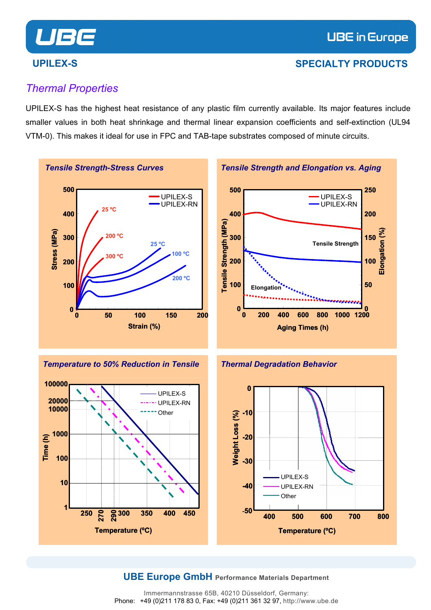

# *Thermal Properties*

UPILEX-S has the highest heat resistance of any plastic film currently available. Its major features include smaller values in both heat shrinkage and thermal linear expansion coefficients and self-extinction (UL94 VTM-0). This makes it ideal for use in FPC and TAB-tape substrates composed of minute circuits.





#### *Thermal Degradation Behavior*



#### **UBE Europe GmbH Performance Materials Department**

Immermannstrasse 65B, 40210 Düsseldorf, Germany: Phone: +49 (0)211 178 83 0, Fax: +49 (0)211 361 32 97, http://www.ube.de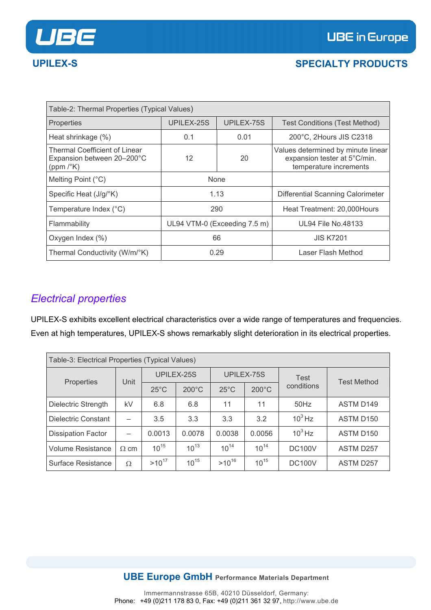

| Table-2: Thermal Properties (Typical Values)                                       |                              |             |                                                                                              |  |  |  |  |
|------------------------------------------------------------------------------------|------------------------------|-------------|----------------------------------------------------------------------------------------------|--|--|--|--|
| Properties                                                                         | UPILEX-25S                   | UPILEX-75S  | <b>Test Conditions (Test Method)</b>                                                         |  |  |  |  |
| Heat shrinkage (%)                                                                 | 0.1                          | 0.01        | 200°C, 2Hours JIS C2318                                                                      |  |  |  |  |
| Thermal Coefficient of Linear<br>Expansion between 20-200°C<br>(ppm $/^{\circ}$ K) | 12                           | 20          | Values determined by minute linear<br>expansion tester at 5°C/min.<br>temperature increments |  |  |  |  |
| Melting Point (°C)                                                                 |                              | <b>None</b> |                                                                                              |  |  |  |  |
| Specific Heat (J/g/°K)                                                             | 1.13                         |             | Differential Scanning Calorimeter                                                            |  |  |  |  |
| Temperature Index (°C)                                                             | 290                          |             | Heat Treatment: 20,000 Hours                                                                 |  |  |  |  |
| Flammability                                                                       | UL94 VTM-0 (Exceeding 7.5 m) |             | <b>UL94 File No.48133</b>                                                                    |  |  |  |  |
| Oxygen Index (%)                                                                   |                              | 66          | <b>JIS K7201</b>                                                                             |  |  |  |  |
| Thermal Conductivity (W/m/°K)                                                      | 0.29                         |             | Laser Flash Method                                                                           |  |  |  |  |

# *Electrical properties*

UPILEX-S exhibits excellent electrical characteristics over a wide range of temperatures and frequencies. Even at high temperatures, UPILEX-S shows remarkably slight deterioration in its electrical properties.

| Table-3: Electrical Properties (Typical Values) |             |                |                 |                |                 |               |                       |
|-------------------------------------------------|-------------|----------------|-----------------|----------------|-----------------|---------------|-----------------------|
|                                                 | Unit        | UPILEX-25S     |                 | UPILEX-75S     |                 | <b>Test</b>   | <b>Test Method</b>    |
| Properties                                      |             | $25^{\circ}$ C | $200^{\circ}$ C | $25^{\circ}$ C | $200^{\circ}$ C | conditions    |                       |
| Dielectric Strength                             | kV          | 6.8            | 6.8             | 11             | 11              | $50$ Hz       | <b>ASTM D149</b>      |
| Dielectric Constant                             |             | 3.5            | 3.3             | 3.3            | 3.2             | $10^3$ Hz     | ASTM D <sub>150</sub> |
| <b>Dissipation Factor</b>                       |             | 0.0013         | 0.0078          | 0.0038         | 0.0056          | $10^3$ Hz     | ASTM D <sub>150</sub> |
| <b>Volume Resistance</b>                        | $\Omega$ cm | $10^{15}$      | $10^{13}$       | $10^{14}$      | $10^{14}$       | <b>DC100V</b> | <b>ASTM D257</b>      |
| <b>Surface Resistance</b>                       | Ω           | $>10^{17}$     | $10^{15}$       | $>10^{16}$     | $10^{15}$       | <b>DC100V</b> | <b>ASTM D257</b>      |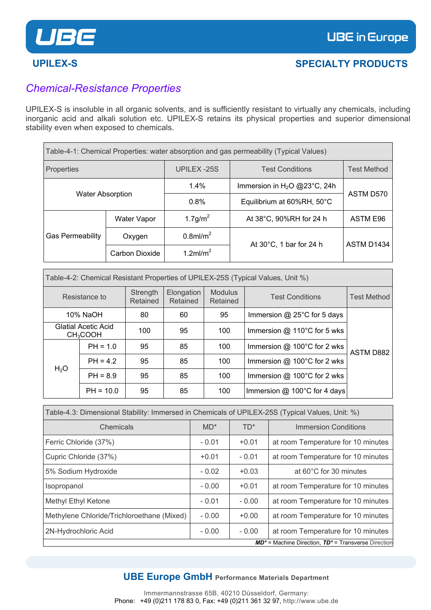

# *Chemical-Resistance Properties*

UPILEX-S is insoluble in all organic solvents, and is sufficiently resistant to virtually any chemicals, including inorganic acid and alkali solution etc. UPILEX-S retains its physical properties and superior dimensional stability even when exposed to chemicals.

| Table-4-1: Chemical Properties: water absorption and gas permeability (Typical Values) |                                   |                         |                                |                    |  |  |  |
|----------------------------------------------------------------------------------------|-----------------------------------|-------------------------|--------------------------------|--------------------|--|--|--|
| Properties                                                                             |                                   | UPILEX-25S              | <b>Test Conditions</b>         | <b>Test Method</b> |  |  |  |
|                                                                                        |                                   | 1.4%                    | Immersion in $H_2O$ @23°C, 24h | ASTM D570          |  |  |  |
| <b>Water Absorption</b>                                                                |                                   | 0.8%                    | Equilibrium at 60%RH, 50°C     |                    |  |  |  |
|                                                                                        | <b>Water Vapor</b>                | $1.7$ g/m <sup>2</sup>  | At 38°C, 90%RH for 24 h        | ASTM E96           |  |  |  |
| <b>Gas Permeability</b>                                                                | $0.8$ ml/m <sup>2</sup><br>Oxygen |                         |                                | ASTM D1434         |  |  |  |
|                                                                                        | Carbon Dioxide                    | $1.2$ ml/m <sup>2</sup> | At 30°C, 1 bar for 24 h        |                    |  |  |  |

| Table-4-2: Chemical Resistant Properties of UPILEX-25S (Typical Values, Unit %) |                                                    |                                                                                                        |    |                    |                                          |           |  |
|---------------------------------------------------------------------------------|----------------------------------------------------|--------------------------------------------------------------------------------------------------------|----|--------------------|------------------------------------------|-----------|--|
|                                                                                 | Resistance to                                      | <b>Modulus</b><br>Elongation<br>Strength<br><b>Test Conditions</b><br>Retained<br>Retained<br>Retained |    | <b>Test Method</b> |                                          |           |  |
|                                                                                 | 10% NaOH                                           | 80                                                                                                     | 60 | 95                 | Immersion $@$ 25 $^{\circ}$ C for 5 days |           |  |
|                                                                                 | <b>Glatial Acetic Acid</b><br>CH <sub>3</sub> COOH | 100                                                                                                    | 95 | 100                | Immersion $@$ 110 $°C$ for 5 wks         |           |  |
|                                                                                 | $PH = 1.0$                                         | 95                                                                                                     | 85 | 100                | Immersion $@$ 100 $°C$ for 2 wks         | ASTM D882 |  |
| H <sub>2</sub> O                                                                | $PH = 4.2$                                         | 95                                                                                                     | 85 | 100                | Immersion $@$ 100 $°C$ for 2 wks         |           |  |
|                                                                                 | $PH = 8.9$                                         | 95                                                                                                     | 85 | 100                | Immersion $@$ 100 $°C$ for 2 wks         |           |  |
|                                                                                 | $PH = 10.0$                                        | 95                                                                                                     | 85 | 100                | Immersion $@$ 100°C for 4 days           |           |  |

| Table-4.3: Dimensional Stability: Immersed in Chemicals of UPILEX-25S (Typical Values, Unit: %) |         |         |                                                           |  |  |  |  |
|-------------------------------------------------------------------------------------------------|---------|---------|-----------------------------------------------------------|--|--|--|--|
| Chemicals                                                                                       | $MD*$   | $TD^*$  | Immersion Conditions                                      |  |  |  |  |
| Ferric Chloride (37%)                                                                           | $-0.01$ | $+0.01$ | at room Temperature for 10 minutes                        |  |  |  |  |
| Cupric Chloride (37%)                                                                           | $+0.01$ | $-0.01$ | at room Temperature for 10 minutes                        |  |  |  |  |
| 5% Sodium Hydroxide                                                                             | $-0.02$ | $+0.03$ | at 60°C for 30 minutes                                    |  |  |  |  |
| Isopropanol                                                                                     | $-0.00$ | $+0.01$ | at room Temperature for 10 minutes                        |  |  |  |  |
| Methyl Ethyl Ketone                                                                             | $-0.01$ | $-0.00$ | at room Temperature for 10 minutes                        |  |  |  |  |
| Methylene Chloride/Trichloroethane (Mixed)                                                      | $-0.00$ | $+0.00$ | at room Temperature for 10 minutes                        |  |  |  |  |
| 2N-Hydrochloric Acid                                                                            | $-0.00$ | $-0.00$ | at room Temperature for 10 minutes                        |  |  |  |  |
|                                                                                                 |         |         | $MD^*$ = Machine Direction, $TD^*$ = Transverse Direction |  |  |  |  |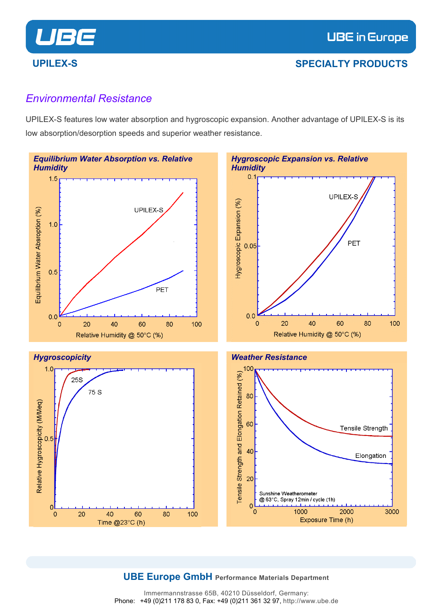

### *Environmental Resistance*

UPILEX-S features low water absorption and hygroscopic expansion. Another advantage of UPILEX-S is its low absorption/desorption speeds and superior weather resistance.







#### **UBE Europe GmbH Performance Materials Department**

Immermannstrasse 65B, 40210 Düsseldorf, Germany: Phone: +49 (0)211 178 83 0, Fax: +49 (0)211 361 32 97, http://www.ube.de